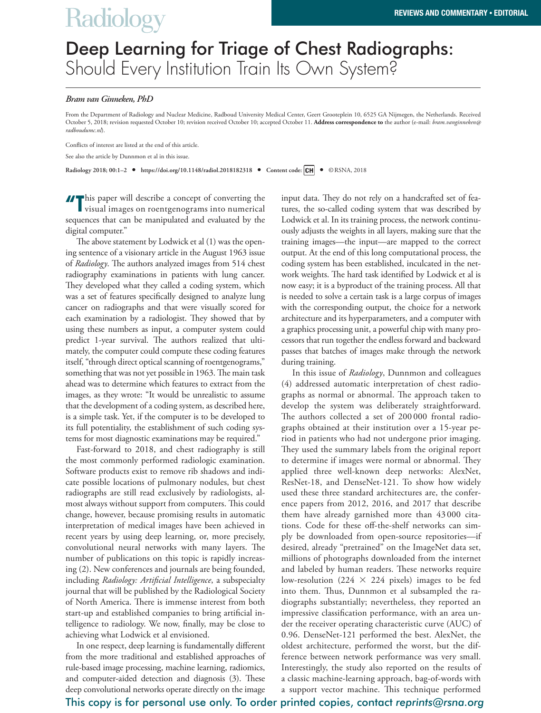## Deep Learning for Triage of Chest Radiographs: Should Every Institution Train Its Own System?

## *Bram van Ginneken, PhD*

**Radiology** 

From the Department of Radiology and Nuclear Medicine, Radboud University Medical Center, Geert Grooteplein 10, 6525 GA Nijmegen, the Netherlands. Received October 5, 2018; revision requested October 10; revision received October 10; accepted October 11. **Address correspondence to** the author (e-mail: *bram.vanginneken@ radboudumc.nl*).

Conflicts of interest are listed at the end of this article.

See also the article by Dunnmon et al in this issue.

**Radiology 2018; 00:1–2 • https://doi.org/10.1148/radiol.2018182318 • Content code: •** ©RSNA, 2018

*II* This paper will describe a concept of converting the visual images on roentgenograms into numerical sequences that can be manipulated and evaluated by the digital computer."

The above statement by Lodwick et al (1) was the opening sentence of a visionary article in the August 1963 issue of *Radiology*. The authors analyzed images from 514 chest radiography examinations in patients with lung cancer. They developed what they called a coding system, which was a set of features specifically designed to analyze lung cancer on radiographs and that were visually scored for each examination by a radiologist. They showed that by using these numbers as input, a computer system could predict 1-year survival. The authors realized that ultimately, the computer could compute these coding features itself, "through direct optical scanning of roentgenograms," something that was not yet possible in 1963. The main task ahead was to determine which features to extract from the images, as they wrote: "It would be unrealistic to assume that the development of a coding system, as described here, is a simple task. Yet, if the computer is to be developed to its full potentiality, the establishment of such coding systems for most diagnostic examinations may be required."

Fast-forward to 2018, and chest radiography is still the most commonly performed radiologic examination. Software products exist to remove rib shadows and indicate possible locations of pulmonary nodules, but chest radiographs are still read exclusively by radiologists, almost always without support from computers. This could change, however, because promising results in automatic interpretation of medical images have been achieved in recent years by using deep learning, or, more precisely, convolutional neural networks with many layers. The number of publications on this topic is rapidly increasing (2). New conferences and journals are being founded, including *Radiology: Artificial Intelligence*, a subspecialty journal that will be published by the Radiological Society of North America. There is immense interest from both start-up and established companies to bring artificial intelligence to radiology. We now, finally, may be close to achieving what Lodwick et al envisioned.

In one respect, deep learning is fundamentally different from the more traditional and established approaches of rule-based image processing, machine learning, radiomics, and computer-aided detection and diagnosis (3). These deep convolutional networks operate directly on the image

input data. They do not rely on a handcrafted set of features, the so-called coding system that was described by Lodwick et al. In its training process, the network continuously adjusts the weights in all layers, making sure that the training images—the input—are mapped to the correct output. At the end of this long computational process, the coding system has been established, inculcated in the network weights. The hard task identified by Lodwick et al is now easy; it is a byproduct of the training process. All that is needed to solve a certain task is a large corpus of images with the corresponding output, the choice for a network architecture and its hyperparameters, and a computer with a graphics processing unit, a powerful chip with many processors that run together the endless forward and backward passes that batches of images make through the network during training.

In this issue of *Radiology*, Dunnmon and colleagues (4) addressed automatic interpretation of chest radiographs as normal or abnormal. The approach taken to develop the system was deliberately straightforward. The authors collected a set of 200 000 frontal radiographs obtained at their institution over a 15-year period in patients who had not undergone prior imaging. They used the summary labels from the original report to determine if images were normal or abnormal. They applied three well-known deep networks: AlexNet, ResNet-18, and DenseNet-121. To show how widely used these three standard architectures are, the conference papers from 2012, 2016, and 2017 that describe them have already garnished more than 43 000 citations. Code for these off-the-shelf networks can simply be downloaded from open-source repositories—if desired, already "pretrained" on the ImageNet data set, millions of photographs downloaded from the internet and labeled by human readers. These networks require low-resolution (224  $\times$  224 pixels) images to be fed into them. Thus, Dunnmon et al subsampled the radiographs substantially; nevertheless, they reported an impressive classification performance, with an area under the receiver operating characteristic curve (AUC) of 0.96. DenseNet-121 performed the best. AlexNet, the oldest architecture, performed the worst, but the difference between network performance was very small. Interestingly, the study also reported on the results of a classic machine-learning approach, bag-of-words with a support vector machine. This technique performed